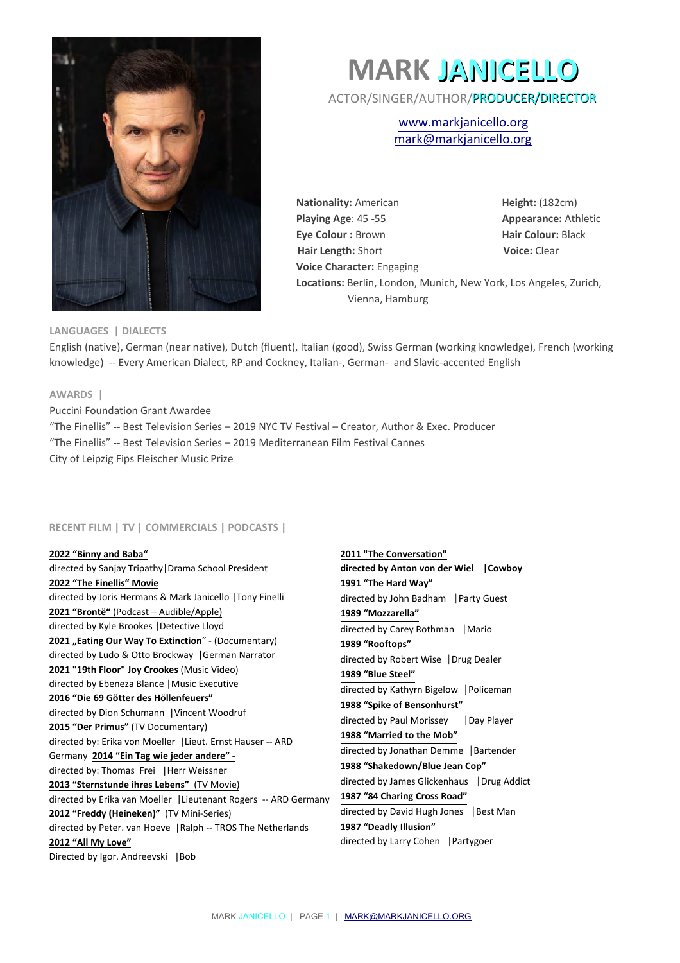

# **MARK JANICELLO**

ACTOR/SINGER/AUTHOR/PRODUCER/DIRECTOR

[www.markjanicello.org](http://www.markjanicello.org/) mark@markjanicello.org

**Nationality:** American **Height:** (182cm) **Playing Age: 45 -55 Appearance: Athletic Eye Colour : Brown <b>Hair Colour:** Black **Hair Length: Short <b>Voice:** Clear **Voice Character:** Engaging **Locations:** Berlin, London, Munich, New York, Los Angeles, Zurich, Vienna, Hamburg

## **LANGUAGES | DIALECTS**

English (native), German (near native), Dutch (fluent), Italian (good), Swiss German (working knowledge), French (working knowledge) -- Every American Dialect, RP and Cockney, Italian-, German- and Slavic-accented English

## **AWARDS |**

Puccini Foundation Grant Awardee "The Finellis" -- Best Television Series – 2019 NYC TV Festival – Creator, Author & Exec. Producer "The Finellis" -- Best Television Series – 2019 Mediterranean Film Festival Cannes City of Leipzig Fips Fleischer Music Prize

# **RECENT FILM | TV | COMMERCIALS | PODCASTS |**

**2022 "Binny and Baba"**  directed by Sanjay Tripathy|Drama School President **2022 "The Finellis" Movie** directed by Joris Hermans & Mark Janicello |Tony Finelli **2021 "Brontë"** (Podcast – Audible/Apple) directed by Kyle Brookes |Detective Lloyd 2021 "Eating Our Way To Extinction" - (Documentary) directed by Ludo & Otto Brockway |German Narrator **2021 "19th Floor" Joy Crookes** (Music Video) directed by Ebeneza Blance |Music Executive **2016 "Die 69 Götter des Höllenfeuers"**  directed by Dion Schumann |Vincent Woodruf **2015 "Der Primus"** (TV Documentary) directed by: Erika von Moeller |Lieut. Ernst Hauser -- ARD Germany **2014 "Ein Tag wie jeder andere"**  directed by: Thomas Frei |Herr Weissner **2013 "Sternstunde ihres Lebens"** (TV Movie) directed by Erika van Moeller |Lieutenant Rogers -- ARD Germany **2012 "Freddy (Heineken)"** (TV Mini-Series) directed by Peter. van Hoeve |Ralph -- TROS The Netherlands **2012 "All My Love"**  Directed by Igor. Andreevski | Bob

**2011 "The Conversation" directed by Anton von der Wiel |Cowboy 1991 "The Hard Way"** directed by John Badham |Party Guest **1989 "Mozzarella"** directed by Carey Rothman |Mario **1989 "Rooftops"**  directed by Robert Wise |Drug Dealer **1989 "Blue Steel"** directed by Kathyrn Bigelow |Policeman **1988 "Spike of Bensonhurst"** directed by Paul Morissey | Day Player **1988 "Married to the Mob"** directed by Jonathan Demme |Bartender **1988 "Shakedown/Blue Jean Cop"** directed by James Glickenhaus |Drug Addict **1987 "84 Charing Cross Road"** directed by David Hugh Jones |Best Man **1987 "Deadly Illusion"** directed by Larry Cohen |Partygoer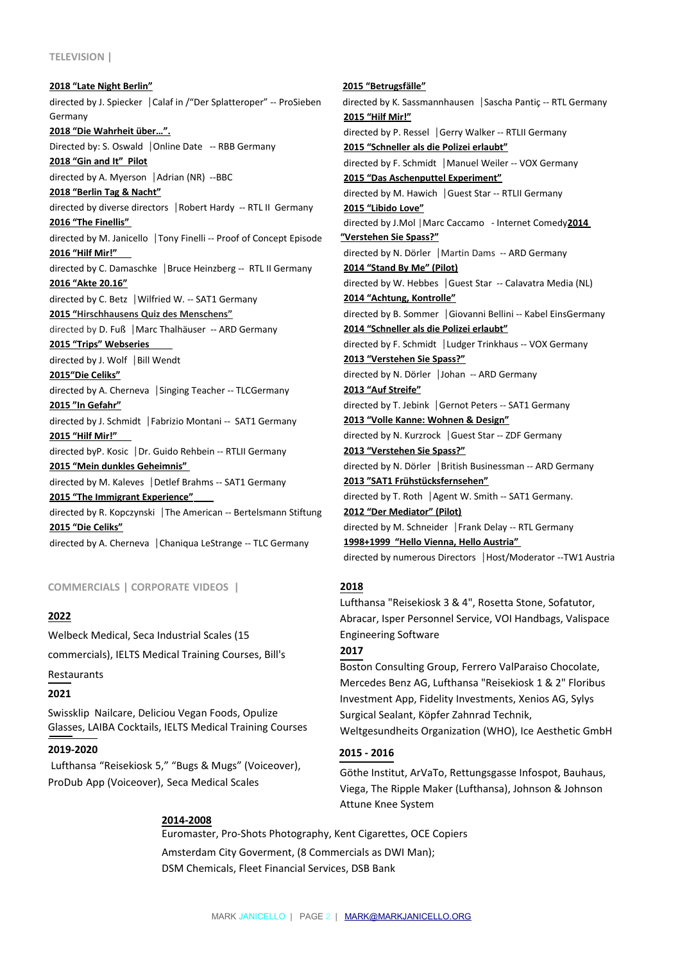#### **TELEVISION |**

**2018 "Late Night Berlin"** directed by J. Spiecker |Calaf in /"Der Splatteroper" -- ProSieben Germany **2018 "Die Wahrheit über…".** Directed by: S. Oswald |Online Date -- RBB Germany **2018 "Gin and It" Pilot** directed by A. Myerson |Adrian (NR) --BBC **2018 "Berlin Tag & Nacht"** directed by diverse directors |Robert Hardy -- RTL II Germany **2016 "The Finellis"**  directed by M. Janicello |Tony Finelli -- Proof of Concept Episode **2016 "Hilf Mir!"**  directed by C. Damaschke |Bruce Heinzberg -- RTL II Germany **2016 "Akte 20.16"** directed by C. Betz |Wilfried W. -- SAT1 Germany **2015 " Hirschhausens Quiz des Menschens"** directed by D. Fuß | Marc Thalhäuser -- ARD Germany **2015 "Trips" Webseries**  directed by J. Wolf |Bill Wendt **2015"Die Celiks"** directed by A. Cherneva |Singing Teacher -- TLCGermany **2015 "In Gefahr"** directed by J. Schmidt |Fabrizio Montani -- SAT1 Germany **2015 "Hilf Mir!"**  directed byP. Kosic |Dr. Guido Rehbein -- RTLII Germany **2015 "Mein dunkles Geheimnis"**  directed by M. Kaleves |Detlef Brahms -- SAT1 Germany **2015 "The Immigrant Experience"**  directed by R. Kopczynski |The American -- Bertelsmann Stiftung **2015 "Die Celiks"** directed by A. Cherneva |Chaniqua LeStrange -- TLC Germany

**COMMERCIALS | CORPORATE VIDEOS |** 

#### **2022**

Welbeck Medical, Seca Industrial Scales (15 commercials), IELTS Medical Training Courses, Bill's

Restaurants

# **2021**

Swissklip Nailcare, Deliciou Vegan Foods, Opulize Glasses, LAIBA Cocktails, IELTS Medical Training Courses

# **2019-2020**

Lufthansa "Reisekiosk 5," "Bugs & Mugs" (Voiceover), ProDub App (Voiceover), Seca Medical Scales

# **2015 "Betrugsfälle"** directed by K. Sassmannhausen |Sascha Pantiç -- RTL Germany **2015 "Hilf Mir!"** directed by P. Ressel |Gerry Walker -- RTLII Germany **2015 "Schneller als die Polizei erlaubt"** directed by F. Schmidt |Manuel Weiler -- VOX Germany **2015 "Das Aschenputtel Experiment"** directed by M. Hawich |Guest Star -- RTLII Germany **2015 "Libido Love"** directed by J.Mol |Marc Caccamo - Internet Comedy**2014 "Verstehen Sie Spass?"** directed by N. Dörler |Martin Dams -- ARD Germany **2014 "Stand By Me" (Pilot)** directed by W. Hebbes |Guest Star -- Calavatra Media (NL) **2014 "Achtung, Kontrolle"** directed by B. Sommer |Giovanni Bellini -- Kabel EinsGermany **2014 "Schneller als die Polizei erlaubt"** directed by F. Schmidt |Ludger Trinkhaus -- VOX Germany **2013 "Verstehen Sie Spass?"** directed by N. Dörler |Johan -- ARD Germany **2013 "Auf Streife"** directed by T. Jebink |Gernot Peters -- SAT1 Germany **2013 "Volle Kanne: Wohnen & Design"** directed by N. Kurzrock |Guest Star -- ZDF Germany **2013 "Verstehen Sie Spass?"** directed by N. Dörler |British Businessman -- ARD Germany **2013 "SAT1 Frühstücksfernsehen"** directed by T. Roth |Agent W. Smith -- SAT1 Germany. **2012 "Der Mediator" (Pilot)** directed by M. Schneider |Frank Delay -- RTL Germany **1998+1999 "Hello Vienna, Hello Austria"**

directed by numerous Directors |Host/Moderator --TW1 Austria

#### **2018**

Lufthansa "Reisekiosk 3 & 4", Rosetta Stone, Sofatutor, Abracar, Isper Personnel Service, VOI Handbags, Valispace Engineering Software

# **2017**

Boston Consulting Group, Ferrero ValParaiso Chocolate, Mercedes Benz AG, Lufthansa "Reisekiosk 1 & 2" Floribus Investment App, Fidelity Investments, Xenios AG, Sylys Surgical Sealant, Köpfer Zahnrad Technik, Weltgesundheits Organization (WHO), Ice Aesthetic GmbH

# **2015 - 2016**

Göthe Institut, ArVaTo, Rettungsgasse Infospot, Bauhaus, Viega, The Ripple Maker (Lufthansa), Johnson & Johnson Attune Knee System

#### **2014-2008**

Euromaster, Pro-Shots Photography, Kent Cigarettes, OCE Copiers Amsterdam City Goverment, (8 Commercials as DWI Man); DSM Chemicals, Fleet Financial Services, DSB Bank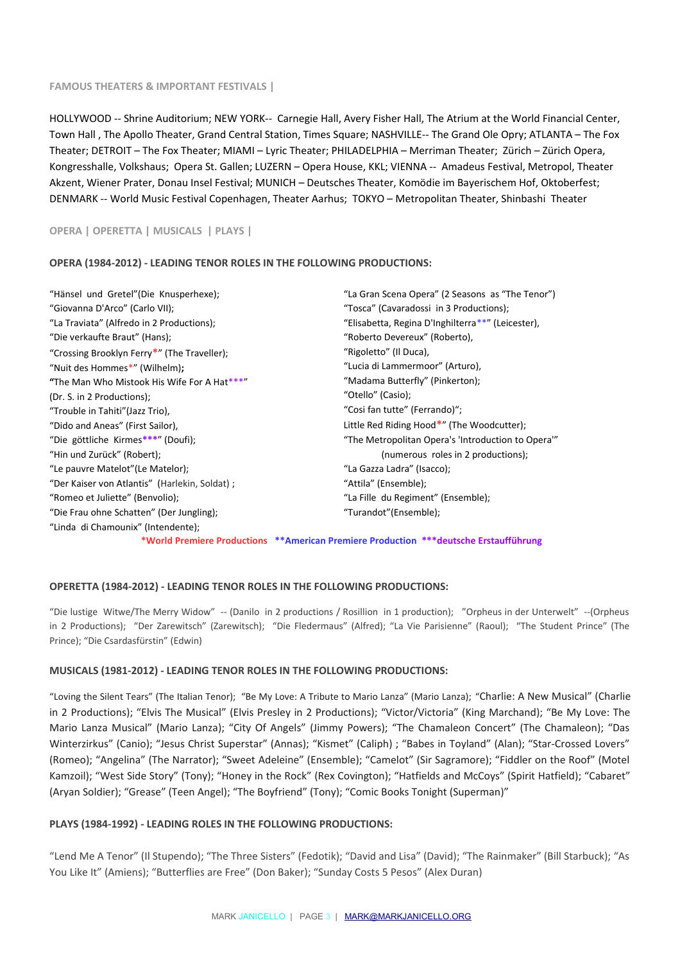#### **FAMOUS THEATERS & IMPORTANT FESTIVALS |**

HOLLYWOOD -- Shrine Auditorium; NEW YORK-- Carnegie Hall, Avery Fisher Hall, The Atrium at the World Financial Center, Town Hall , The Apollo Theater, Grand Central Station, Times Square; NASHVILLE-- The Grand Ole Opry; ATLANTA – The Fox Theater; DETROIT – The Fox Theater; MIAMI – Lyric Theater; PHILADELPHIA – Merriman Theater; Zürich – Zürich Opera, Kongresshalle, Volkshaus; Opera St. Gallen; LUZERN – Opera House, KKL; VIENNA -- Amadeus Festival, Metropol, Theater Akzent, Wiener Prater, Donau Insel Festival; MUNICH – Deutsches Theater, Komödie im Bayerischem Hof, Oktoberfest; DENMARK -- World Music Festival Copenhagen, Theater Aarhus; TOKYO – Metropolitan Theater, Shinbashi Theater

**OPERA | OPERETTA | MUSICALS | PLAYS |**

## **OPERA (1984-2012) - LEADING TENOR ROLES IN THE FOLLOWING PRODUCTIONS:**

"Hänsel und Gretel"(Die Knusperhexe); "Giovanna D'Arco" (Carlo VII); "La Traviata" (Alfredo in 2 Productions); "Die verkaufte Braut" (Hans); "Crossing Brooklyn Ferry**\***" (The Traveller); "Nuit des Hommes\*" (Wilhelm)**; "**The Man Who Mistook His Wife For A Hat\*\*\*" (Dr. S. in 2 Productions); "Trouble in Tahiti"(Jazz Trio), "Dido and Aneas" (First Sailor), "Die göttliche Kirmes**\*\*\***" (Doufi); "Hin und Zurück" (Robert); "Le pauvre Matelot"(Le Matelor); "Der Kaiser von Atlantis" (Harlekin, Soldat) ; "Romeo et Juliette" (Benvolio); "Die Frau ohne Schatten" (Der Jungling); "Linda di Chamounix" (Intendente);

"La Gran Scena Opera" (2 Seasons as "The Tenor") "Tosca" (Cavaradossi in 3 Productions); "Elisabetta, Regina D'Inghilterra\*\*" (Leicester), "Roberto Devereux" (Roberto), "Rigoletto" (Il Duca), "Lucia di Lammermoor" (Arturo), "Madama Butterfly" (Pinkerton); "Otello" (Casio); "Cosi fan tutte" (Ferrando)"; Little Red Riding Hood**\***" (The Woodcutter); "The Metropolitan Opera's 'Introduction to Opera'" (numerous roles in 2 productions); "La Gazza Ladra" (Isacco); "Attila" (Ensemble); "La Fille du Regiment" (Ensemble); "Turandot"(Ensemble);

**\*World Premiere Productions \*\*American Premiere Production \*\*\*deutsche Erstaufführung**

# **OPERETTA (1984-2012) - LEADING TENOR ROLES IN THE FOLLOWING PRODUCTIONS:**

"Die lustige Witwe/The Merry Widow" -- (Danilo in 2 productions / Rosillion in 1 production); "Orpheus in der Unterwelt" --(Orpheus in 2 Productions); "Der Zarewitsch" (Zarewitsch); "Die Fledermaus" (Alfred); "La Vie Parisienne" (Raoul); "The Student Prince" (The Prince); "Die Csardasfürstin" (Edwin)

#### **MUSICALS (1981-2012) - LEADING TENOR ROLES IN THE FOLLOWING PRODUCTIONS:**

"Loving the Silent Tears" (The Italian Tenor); "Be My Love: A Tribute to Mario Lanza" (Mario Lanza); "Charlie: A New Musical" (Charlie in 2 Productions); "Elvis The Musical" (Elvis Presley in 2 Productions); "Victor/Victoria" (King Marchand); "Be My Love: The Mario Lanza Musical" (Mario Lanza); "City Of Angels" (Jimmy Powers); "The Chamaleon Concert" (The Chamaleon); "Das Winterzirkus" (Canio); "Jesus Christ Superstar" (Annas); "Kismet" (Caliph) ; "Babes in Toyland" (Alan); "Star-Crossed Lovers" (Romeo); "Angelina" (The Narrator); "Sweet Adeleine" (Ensemble); "Camelot" (Sir Sagramore); "Fiddler on the Roof" (Motel Kamzoil); "West Side Story" (Tony); "Honey in the Rock" (Rex Covington); "Hatfields and McCoys" (Spirit Hatfield); "Cabaret" (Aryan Soldier); "Grease" (Teen Angel); "The Boyfriend" (Tony); "Comic Books Tonight (Superman)"

#### **PLAYS (1984-1992) - LEADING ROLES IN THE FOLLOWING PRODUCTIONS:**

"Lend Me A Tenor" (Il Stupendo); "The Three Sisters" (Fedotik); "David and Lisa" (David); "The Rainmaker" (Bill Starbuck); "As You Like It" (Amiens); "Butterflies are Free" (Don Baker); "Sunday Costs 5 Pesos" (Alex Duran)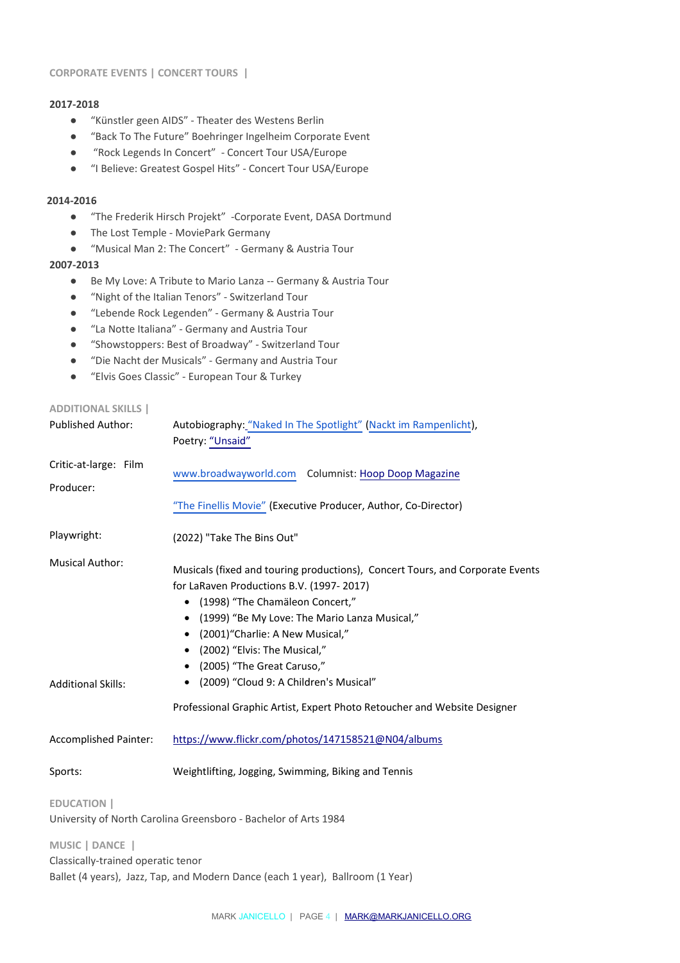## **CORPORATE EVENTS | CONCERT TOURS |**

# **2017-2018**

- "Künstler geen AIDS" Theater des Westens Berlin
- "Back To The Future" Boehringer Ingelheim Corporate Event
- "Rock Legends In Concert" Concert Tour USA/Europe
- "I Believe: Greatest Gospel Hits" Concert Tour USA/Europe

# **2014-2016**

- "The Frederik Hirsch Projekt" -Corporate Event, DASA Dortmund
- The Lost Temple MoviePark Germany
- "Musical Man 2: The Concert" Germany & Austria Tour

# **2007-2013**

- Be My Love: A Tribute to Mario Lanza -- Germany & Austria Tour
- "Night of the Italian Tenors" Switzerland Tour
- "Lebende Rock Legenden" Germany & Austria Tour
- "La Notte Italiana" Germany and Austria Tour
- "Showstoppers: Best of Broadway" Switzerland Tour
- "Die Nacht der Musicals" Germany and Austria Tour
- "Elvis Goes Classic" European Tour & Turkey

# **ADDITIONAL SKILLS |**

| <b>Published Author:</b>                            | Autobiography: "Naked In The Spotlight" (Nackt im Rampenlicht),<br>Poetry: "Unsaid"                                                                                                                                                                                                                                                                                                                                                                                                       |
|-----------------------------------------------------|-------------------------------------------------------------------------------------------------------------------------------------------------------------------------------------------------------------------------------------------------------------------------------------------------------------------------------------------------------------------------------------------------------------------------------------------------------------------------------------------|
| Critic-at-large: Film<br>Producer:                  | www.broadwayworld.com Columnist: Hoop Doop Magazine                                                                                                                                                                                                                                                                                                                                                                                                                                       |
|                                                     | "The Finellis Movie" (Executive Producer, Author, Co-Director)                                                                                                                                                                                                                                                                                                                                                                                                                            |
| Playwright:                                         | (2022) "Take The Bins Out"                                                                                                                                                                                                                                                                                                                                                                                                                                                                |
| <b>Musical Author:</b><br><b>Additional Skills:</b> | Musicals (fixed and touring productions), Concert Tours, and Corporate Events<br>for LaRaven Productions B.V. (1997-2017)<br>(1998) "The Chamäleon Concert,"<br>(1999) "Be My Love: The Mario Lanza Musical,"<br>$\bullet$<br>(2001) "Charlie: A New Musical,"<br>$\bullet$<br>(2002) "Elvis: The Musical,"<br>(2005) "The Great Caruso,"<br>$\bullet$<br>(2009) "Cloud 9: A Children's Musical"<br>$\bullet$<br>Professional Graphic Artist, Expert Photo Retoucher and Website Designer |
| <b>Accomplished Painter:</b>                        | https://www.flickr.com/photos/147158521@N04/albums                                                                                                                                                                                                                                                                                                                                                                                                                                        |
| Sports:                                             | Weightlifting, Jogging, Swimming, Biking and Tennis                                                                                                                                                                                                                                                                                                                                                                                                                                       |
| <b>EDUCATION</b>                                    | University of North Carolina Greensboro - Bachelor of Arts 1984                                                                                                                                                                                                                                                                                                                                                                                                                           |
| MUSIC   DANCE                                       |                                                                                                                                                                                                                                                                                                                                                                                                                                                                                           |

Classically-trained operatic tenor

Ballet (4 years), Jazz, Tap, and Modern Dance (each 1 year), Ballroom (1 Year)